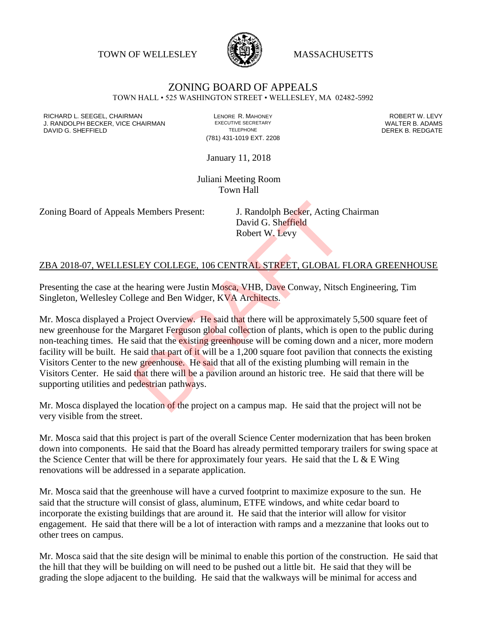TOWN OF WELLESLEY **WASSACHUSETTS** 



## ZONING BOARD OF APPEALS

TOWN HALL • 525 WASHINGTON STREET • WELLESLEY, MA 02482-5992

RICHARD L. SEEGEL, CHAIRMAN LENORE R. MAHONEY ROBERT W. LEVY J. RANDOLPH BECKER, VICE CHAIRMAN EXECUTIVE SECRETARY THE SECRETARY THE SANDOLPH BECKER B. ADAMS<br>DEREK B. REDGATE DAVID G. SHEFFIELD

(781) 431-1019 EXT. 2208

January 11, 2018

Juliani Meeting Room Town Hall

Zoning Board of Appeals Members Present: J. Randolph Becker, Acting Chairman

David G. Sheffield Robert W. Levy

## ZBA 2018-07, WELLESLEY COLLEGE, 106 CENTRAL STREET, GLOBAL FLORA GREENHOUSE

Presenting the case at the hearing were Justin Mosca, VHB, Dave Conway, Nitsch Engineering, Tim Singleton, Wellesley College and Ben Widger, KVA Architects.

Mr. Mosca displayed a Project Overview. He said that there will be approximately 5,500 square feet of new greenhouse for the Margaret Ferguson global collection of plants, which is open to the public during non-teaching times. He said that the existing greenhouse will be coming down and a nicer, more modern facility will be built. He said that part of it will be a 1,200 square foot pavilion that connects the existing Visitors Center to the new greenhouse. He said that all of the existing plumbing will remain in the Visitors Center. He said that there will be a pavilion around an historic tree. He said that there will be supporting utilities and pedestrian pathways. S. Members Present: J. Randolph Becker, Acting C<br>David G. Sheffield<br>Robert W. Levy<br>LEY COLLEGE, 106 CENTRAL STREET, GLOBAL F<br>hearing were Justin Mosca, VHB, Dave Conway, Nitsch<br>lege and Ben Widger, KVA Architects.<br>Froject

Mr. Mosca displayed the location of the project on a campus map. He said that the project will not be very visible from the street.

Mr. Mosca said that this project is part of the overall Science Center modernization that has been broken down into components. He said that the Board has already permitted temporary trailers for swing space at the Science Center that will be there for approximately four years. He said that the  $L \& E$  Wing renovations will be addressed in a separate application.

Mr. Mosca said that the greenhouse will have a curved footprint to maximize exposure to the sun. He said that the structure will consist of glass, aluminum, ETFE windows, and white cedar board to incorporate the existing buildings that are around it. He said that the interior will allow for visitor engagement. He said that there will be a lot of interaction with ramps and a mezzanine that looks out to other trees on campus.

Mr. Mosca said that the site design will be minimal to enable this portion of the construction. He said that the hill that they will be building on will need to be pushed out a little bit. He said that they will be grading the slope adjacent to the building. He said that the walkways will be minimal for access and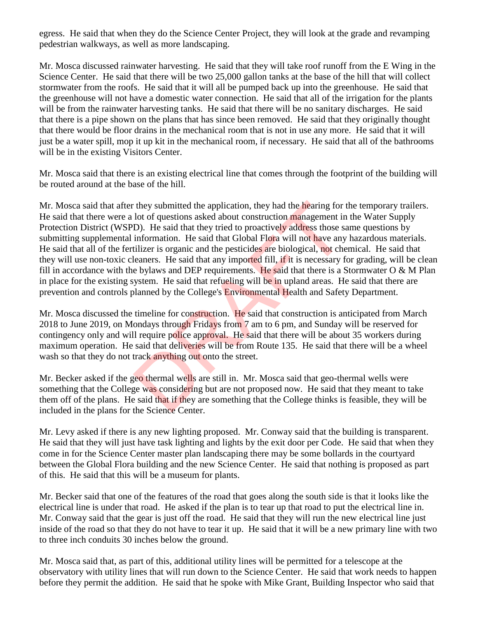egress. He said that when they do the Science Center Project, they will look at the grade and revamping pedestrian walkways, as well as more landscaping.

Mr. Mosca discussed rainwater harvesting. He said that they will take roof runoff from the E Wing in the Science Center. He said that there will be two 25,000 gallon tanks at the base of the hill that will collect stormwater from the roofs. He said that it will all be pumped back up into the greenhouse. He said that the greenhouse will not have a domestic water connection. He said that all of the irrigation for the plants will be from the rainwater harvesting tanks. He said that there will be no sanitary discharges. He said that there is a pipe shown on the plans that has since been removed. He said that they originally thought that there would be floor drains in the mechanical room that is not in use any more. He said that it will just be a water spill, mop it up kit in the mechanical room, if necessary. He said that all of the bathrooms will be in the existing Visitors Center.

Mr. Mosca said that there is an existing electrical line that comes through the footprint of the building will be routed around at the base of the hill.

Mr. Mosca said that after they submitted the application, they had the hearing for the temporary trailers. He said that there were a lot of questions asked about construction management in the Water Supply Protection District (WSPD). He said that they tried to proactively address those same questions by submitting supplemental information. He said that Global Flora will not have any hazardous materials. He said that all of the fertilizer is organic and the pesticides are biological, not chemical. He said that they will use non-toxic cleaners. He said that any imported fill, if it is necessary for grading, will be clean fill in accordance with the bylaws and DEP requirements. He said that there is a Stormwater  $O & M$  Plan in place for the existing system. He said that refueling will be in upland areas. He said that there are prevention and controls planned by the College's Environmental Health and Safety Department. they submitted the application, they had the **hearing** for<br>lot of questions asked about construction **management** ir<br>D). He said that they tried to proactively address those s<br>information. He said that Global Flora will no

Mr. Mosca discussed the timeline for construction. He said that construction is anticipated from March 2018 to June 2019, on Mondays through Fridays from 7 am to 6 pm, and Sunday will be reserved for contingency only and will require police approval. He said that there will be about 35 workers during maximum operation. He said that deliveries will be from Route 135. He said that there will be a wheel wash so that they do not track anything out onto the street.

Mr. Becker asked if the geo thermal wells are still in. Mr. Mosca said that geo-thermal wells were something that the College was considering but are not proposed now. He said that they meant to take them off of the plans. He said that if they are something that the College thinks is feasible, they will be included in the plans for the Science Center.

Mr. Levy asked if there is any new lighting proposed. Mr. Conway said that the building is transparent. He said that they will just have task lighting and lights by the exit door per Code. He said that when they come in for the Science Center master plan landscaping there may be some bollards in the courtyard between the Global Flora building and the new Science Center. He said that nothing is proposed as part of this. He said that this will be a museum for plants.

Mr. Becker said that one of the features of the road that goes along the south side is that it looks like the electrical line is under that road. He asked if the plan is to tear up that road to put the electrical line in. Mr. Conway said that the gear is just off the road. He said that they will run the new electrical line just inside of the road so that they do not have to tear it up. He said that it will be a new primary line with two to three inch conduits 30 inches below the ground.

Mr. Mosca said that, as part of this, additional utility lines will be permitted for a telescope at the observatory with utility lines that will run down to the Science Center. He said that work needs to happen before they permit the addition. He said that he spoke with Mike Grant, Building Inspector who said that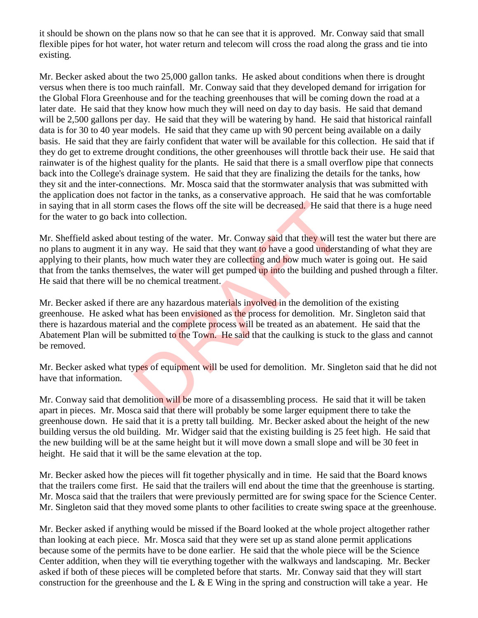it should be shown on the plans now so that he can see that it is approved. Mr. Conway said that small flexible pipes for hot water, hot water return and telecom will cross the road along the grass and tie into existing.

Mr. Becker asked about the two 25,000 gallon tanks. He asked about conditions when there is drought versus when there is too much rainfall. Mr. Conway said that they developed demand for irrigation for the Global Flora Greenhouse and for the teaching greenhouses that will be coming down the road at a later date. He said that they know how much they will need on day to day basis. He said that demand will be 2,500 gallons per day. He said that they will be watering by hand. He said that historical rainfall data is for 30 to 40 year models. He said that they came up with 90 percent being available on a daily basis. He said that they are fairly confident that water will be available for this collection. He said that if they do get to extreme drought conditions, the other greenhouses will throttle back their use. He said that rainwater is of the highest quality for the plants. He said that there is a small overflow pipe that connects back into the College's drainage system. He said that they are finalizing the details for the tanks, how they sit and the inter-connections. Mr. Mosca said that the stormwater analysis that was submitted with the application does not factor in the tanks, as a conservative approach. He said that he was comfortable in saying that in all storm cases the flows off the site will be decreased. He said that there is a huge need for the water to go back into collection.

Mr. Sheffield asked about testing of the water. Mr. Conway said that they will test the water but there are no plans to augment it in any way. He said that they want to have a good understanding of what they are applying to their plants, how much water they are collecting and how much water is going out. He said that from the tanks themselves, the water will get pumped up into the building and pushed through a filter. He said that there will be no chemical treatment.

Mr. Becker asked if there are any hazardous materials involved in the demolition of the existing greenhouse. He asked what has been envisioned as the process for demolition. Mr. Singleton said that there is hazardous material and the complete process will be treated as an abatement. He said that the Abatement Plan will be submitted to the Town. He said that the caulking is stuck to the glass and cannot be removed. It cases the flows off the site will be decreased. He said the collection.<br>
It testing of the water. Mr. Conway said that they will test any way. He said that they want to have a good understance any way. He said that they

Mr. Becker asked what types of equipment will be used for demolition. Mr. Singleton said that he did not have that information.

Mr. Conway said that demolition will be more of a disassembling process. He said that it will be taken apart in pieces. Mr. Mosca said that there will probably be some larger equipment there to take the greenhouse down. He said that it is a pretty tall building. Mr. Becker asked about the height of the new building versus the old building. Mr. Widger said that the existing building is 25 feet high. He said that the new building will be at the same height but it will move down a small slope and will be 30 feet in height. He said that it will be the same elevation at the top.

Mr. Becker asked how the pieces will fit together physically and in time. He said that the Board knows that the trailers come first. He said that the trailers will end about the time that the greenhouse is starting. Mr. Mosca said that the trailers that were previously permitted are for swing space for the Science Center. Mr. Singleton said that they moved some plants to other facilities to create swing space at the greenhouse.

Mr. Becker asked if anything would be missed if the Board looked at the whole project altogether rather than looking at each piece. Mr. Mosca said that they were set up as stand alone permit applications because some of the permits have to be done earlier. He said that the whole piece will be the Science Center addition, when they will tie everything together with the walkways and landscaping. Mr. Becker asked if both of these pieces will be completed before that starts. Mr. Conway said that they will start construction for the greenhouse and the L  $\&$  E Wing in the spring and construction will take a year. He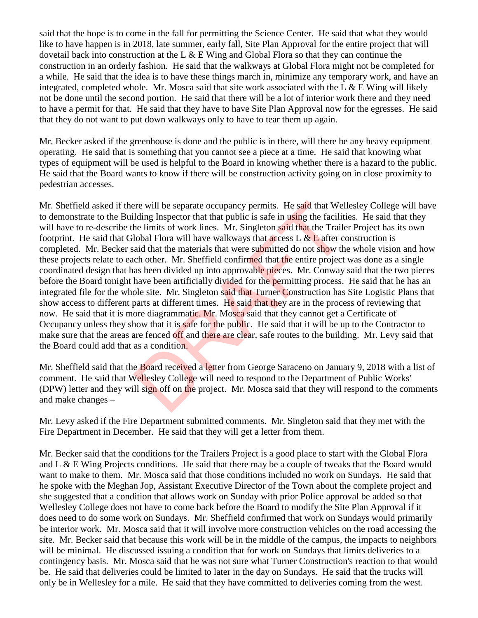said that the hope is to come in the fall for permitting the Science Center. He said that what they would like to have happen is in 2018, late summer, early fall, Site Plan Approval for the entire project that will dovetail back into construction at the L  $\&$  E Wing and Global Flora so that they can continue the construction in an orderly fashion. He said that the walkways at Global Flora might not be completed for a while. He said that the idea is to have these things march in, minimize any temporary work, and have an integrated, completed whole. Mr. Mosca said that site work associated with the L & E Wing will likely not be done until the second portion. He said that there will be a lot of interior work there and they need to have a permit for that. He said that they have to have Site Plan Approval now for the egresses. He said that they do not want to put down walkways only to have to tear them up again.

Mr. Becker asked if the greenhouse is done and the public is in there, will there be any heavy equipment operating. He said that is something that you cannot see a piece at a time. He said that knowing what types of equipment will be used is helpful to the Board in knowing whether there is a hazard to the public. He said that the Board wants to know if there will be construction activity going on in close proximity to pedestrian accesses.

Mr. Sheffield asked if there will be separate occupancy permits. He said that Wellesley College will have to demonstrate to the Building Inspector that that public is safe in using the facilities. He said that they will have to re-describe the limits of work lines. Mr. Singleton said that the Trailer Project has its own footprint. He said that Global Flora will have walkways that access L  $\&$  E after construction is completed. Mr. Becker said that the materials that were submitted do not show the whole vision and how these projects relate to each other. Mr. Sheffield confirmed that the entire project was done as a single coordinated design that has been divided up into approvable pieces. Mr. Conway said that the two pieces before the Board tonight have been artificially divided for the permitting process. He said that he has an integrated file for the whole site. Mr. Singleton said that Turner Construction has Site Logistic Plans that show access to different parts at different times. He said that they are in the process of reviewing that now. He said that it is more diagrammatic. Mr. Mosca said that they cannot get a Certificate of Occupancy unless they show that it is safe for the public. He said that it will be up to the Contractor to make sure that the areas are fenced off and there are clear, safe routes to the building. Mr. Levy said that the Board could add that as a condition. re will be separate occupancy permits. He said that Wellding Inspector that that public is safe in using the facilit<br>he limits of work lines. Mr. Singleton said that the Traile<br>lobal Flora will have walkways that access L

Mr. Sheffield said that the **Board received a letter from George Saraceno on January 9, 2018** with a list of comment. He said that Wellesley College will need to respond to the Department of Public Works' (DPW) letter and they will sign off on the project. Mr. Mosca said that they will respond to the comments and make changes –

Mr. Levy asked if the Fire Department submitted comments. Mr. Singleton said that they met with the Fire Department in December. He said that they will get a letter from them.

Mr. Becker said that the conditions for the Trailers Project is a good place to start with the Global Flora and L & E Wing Projects conditions. He said that there may be a couple of tweaks that the Board would want to make to them. Mr. Mosca said that those conditions included no work on Sundays. He said that he spoke with the Meghan Jop, Assistant Executive Director of the Town about the complete project and she suggested that a condition that allows work on Sunday with prior Police approval be added so that Wellesley College does not have to come back before the Board to modify the Site Plan Approval if it does need to do some work on Sundays. Mr. Sheffield confirmed that work on Sundays would primarily be interior work. Mr. Mosca said that it will involve more construction vehicles on the road accessing the site. Mr. Becker said that because this work will be in the middle of the campus, the impacts to neighbors will be minimal. He discussed issuing a condition that for work on Sundays that limits deliveries to a contingency basis. Mr. Mosca said that he was not sure what Turner Construction's reaction to that would be. He said that deliveries could be limited to later in the day on Sundays. He said that the trucks will only be in Wellesley for a mile. He said that they have committed to deliveries coming from the west.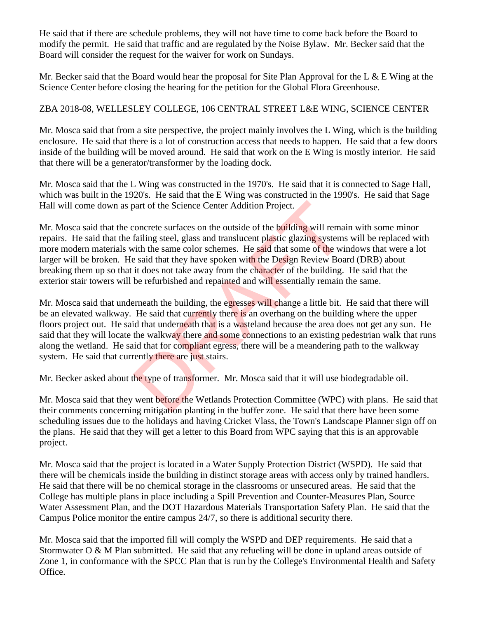He said that if there are schedule problems, they will not have time to come back before the Board to modify the permit. He said that traffic and are regulated by the Noise Bylaw. Mr. Becker said that the Board will consider the request for the waiver for work on Sundays.

Mr. Becker said that the Board would hear the proposal for Site Plan Approval for the L  $\&$  E Wing at the Science Center before closing the hearing for the petition for the Global Flora Greenhouse.

## ZBA 2018-08, WELLESLEY COLLEGE, 106 CENTRAL STREET L&E WING, SCIENCE CENTER

Mr. Mosca said that from a site perspective, the project mainly involves the L Wing, which is the building enclosure. He said that there is a lot of construction access that needs to happen. He said that a few doors inside of the building will be moved around. He said that work on the E Wing is mostly interior. He said that there will be a generator/transformer by the loading dock.

Mr. Mosca said that the L Wing was constructed in the 1970's. He said that it is connected to Sage Hall, which was built in the 1920's. He said that the E Wing was constructed in the 1990's. He said that Sage Hall will come down as part of the Science Center Addition Project.

Mr. Mosca said that the concrete surfaces on the outside of the building will remain with some minor repairs. He said that the failing steel, glass and translucent plastic glazing systems will be replaced with more modern materials with the same color schemes. He said that some of the windows that were a lot larger will be broken. He said that they have spoken with the Design Review Board (DRB) about breaking them up so that it does not take away from the character of the building. He said that the exterior stair towers will be refurbished and repainted and will essentially remain the same. part of the Science Center Addition Project.<br>
concrete surfaces on the outside of the building will rema<br>
failing steel, glass and translucent plastic glazing systems<br>
vith the same color schemes. He said that some of the

Mr. Mosca said that underneath the building, the egresses will change a little bit. He said that there will be an elevated walkway. He said that currently there is an overhang on the building where the upper floors project out. He said that underneath that is a wasteland because the area does not get any sun. He said that they will locate the walkway there and some connections to an existing pedestrian walk that runs along the wetland. He said that for compliant egress, there will be a meandering path to the walkway system. He said that currently there are just stairs.

Mr. Becker asked about the type of transformer. Mr. Mosca said that it will use biodegradable oil.

Mr. Mosca said that they went before the Wetlands Protection Committee (WPC) with plans. He said that their comments concerning mitigation planting in the buffer zone. He said that there have been some scheduling issues due to the holidays and having Cricket Vlass, the Town's Landscape Planner sign off on the plans. He said that they will get a letter to this Board from WPC saying that this is an approvable project.

Mr. Mosca said that the project is located in a Water Supply Protection District (WSPD). He said that there will be chemicals inside the building in distinct storage areas with access only by trained handlers. He said that there will be no chemical storage in the classrooms or unsecured areas. He said that the College has multiple plans in place including a Spill Prevention and Counter-Measures Plan, Source Water Assessment Plan, and the DOT Hazardous Materials Transportation Safety Plan. He said that the Campus Police monitor the entire campus 24/7, so there is additional security there.

Mr. Mosca said that the imported fill will comply the WSPD and DEP requirements. He said that a Stormwater O & M Plan submitted. He said that any refueling will be done in upland areas outside of Zone 1, in conformance with the SPCC Plan that is run by the College's Environmental Health and Safety Office.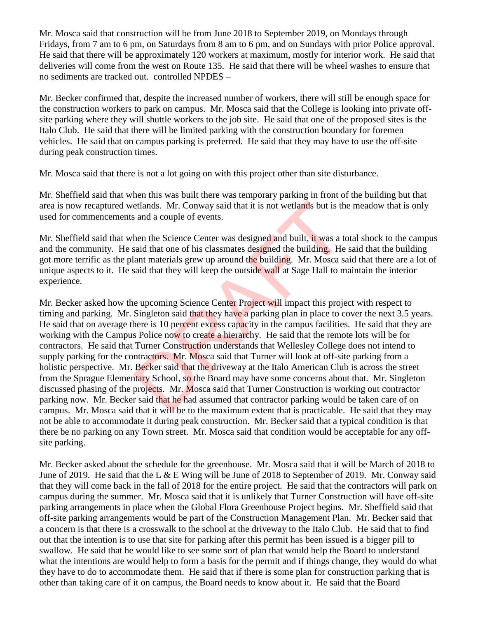Mr. Mosca said that construction will be from June 2018 to September 2019, on Mondays through Fridays, from 7 am to 6 pm, on Saturdays from 8 am to 6 pm, and on Sundays with prior Police approval. He said that there will be approximately 120 workers at maximum, mostly for interior work. He said that deliveries will come from the west on Route 135. He said that there will be wheel washes to ensure that no sediments are tracked out. controlled NPDES –

Mr. Becker confirmed that, despite the increased number of workers, there will still be enough space for the construction workers to park on campus. Mr. Mosca said that the College is looking into private offsite parking where they will shuttle workers to the job site. He said that one of the proposed sites is the Italo Club. He said that there will be limited parking with the construction boundary for foremen vehicles. He said that on campus parking is preferred. He said that they may have to use the off-site during peak construction times.

Mr. Mosca said that there is not a lot going on with this project other than site disturbance.

Mr. Sheffield said that when this was built there was temporary parking in front of the building but that area is now recaptured wetlands. Mr. Conway said that it is not wetlands but is the meadow that is only used for commencements and a couple of events.

Mr. Sheffield said that when the Science Center was designed and built, it was a total shock to the campus and the community. He said that one of his classmates designed the building. He said that the building got more terrific as the plant materials grew up around the building. Mr. Mosca said that there are a lot of unique aspects to it. He said that they will keep the outside wall at Sage Hall to maintain the interior experience.

Mr. Becker asked how the upcoming Science Center Project will impact this project with respect to timing and parking. Mr. Singleton said that they have a parking plan in place to cover the next 3.5 years. He said that on average there is 10 percent excess capacity in the campus facilities. He said that they are working with the Campus Police now to create a hierarchy. He said that the remote lots will be for contractors. He said that Turner Construction understands that Wellesley College does not intend to supply parking for the contractors. Mr. Mosca said that Turner will look at off-site parking from a holistic perspective. Mr. Becker said that the driveway at the Italo American Club is across the street from the Sprague Elementary School, so the Board may have some concerns about that. Mr. Singleton discussed phasing of the projects. Mr. Mosca said that Turner Construction is working out contractor parking now. Mr. Becker said that he had assumed that contractor parking would be taken care of on campus. Mr. Mosca said that it will be to the maximum extent that is practicable. He said that they may not be able to accommodate it during peak construction. Mr. Becker said that a typical condition is that there be no parking on any Town street. Mr. Mosca said that condition would be acceptable for any offsite parking. etlands. Mr. Conway said that it is not wetlands but is the said a couple of events.<br>
hen the Science Center was designed and built, it was a tsaid that one of his classmates designed the building. He<br>
lant materials grew

Mr. Becker asked about the schedule for the greenhouse. Mr. Mosca said that it will be March of 2018 to June of 2019. He said that the L & E Wing will be June of 2018 to September of 2019. Mr. Conway said that they will come back in the fall of 2018 for the entire project. He said that the contractors will park on campus during the summer. Mr. Mosca said that it is unlikely that Turner Construction will have off-site parking arrangements in place when the Global Flora Greenhouse Project begins. Mr. Sheffield said that off-site parking arrangements would be part of the Construction Management Plan. Mr. Becker said that a concern is that there is a crosswalk to the school at the driveway to the Italo Club. He said that to find out that the intention is to use that site for parking after this permit has been issued is a bigger pill to swallow. He said that he would like to see some sort of plan that would help the Board to understand what the intentions are would help to form a basis for the permit and if things change, they would do what they have to do to accommodate them. He said that if there is some plan for construction parking that is other than taking care of it on campus, the Board needs to know about it. He said that the Board